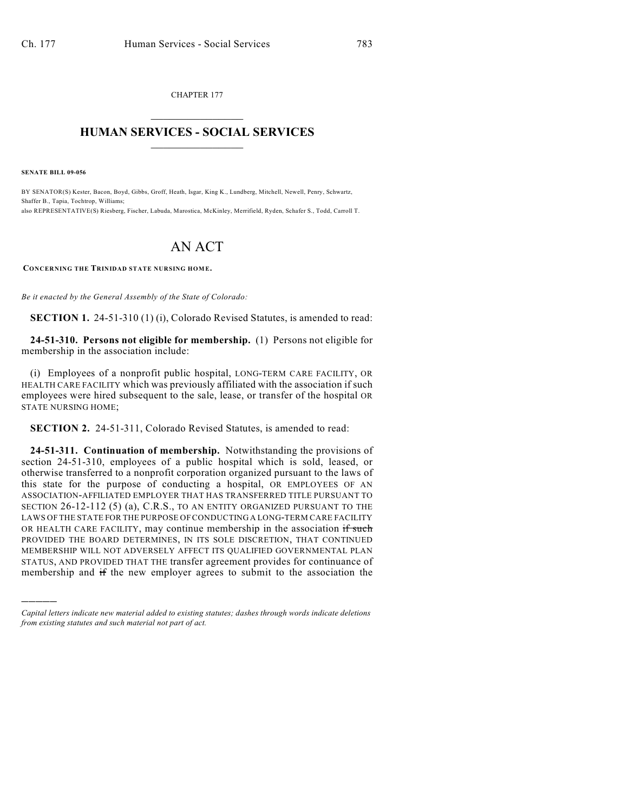CHAPTER 177  $\overline{\phantom{a}}$  . The set of the set of the set of the set of the set of the set of the set of the set of the set of the set of the set of the set of the set of the set of the set of the set of the set of the set of the set o

## **HUMAN SERVICES - SOCIAL SERVICES**  $\frac{1}{2}$  ,  $\frac{1}{2}$  ,  $\frac{1}{2}$  ,  $\frac{1}{2}$  ,  $\frac{1}{2}$  ,  $\frac{1}{2}$  ,  $\frac{1}{2}$

**SENATE BILL 09-056**

)))))

BY SENATOR(S) Kester, Bacon, Boyd, Gibbs, Groff, Heath, Isgar, King K., Lundberg, Mitchell, Newell, Penry, Schwartz, Shaffer B., Tapia, Tochtrop, Williams; also REPRESENTATIVE(S) Riesberg, Fischer, Labuda, Marostica, McKinley, Merrifield, Ryden, Schafer S., Todd, Carroll T.

## AN ACT

**CONCERNING THE TRINIDAD STATE NURSING HOM E.**

*Be it enacted by the General Assembly of the State of Colorado:*

**SECTION 1.** 24-51-310 (1) (i), Colorado Revised Statutes, is amended to read:

**24-51-310. Persons not eligible for membership.** (1) Persons not eligible for membership in the association include:

(i) Employees of a nonprofit public hospital, LONG-TERM CARE FACILITY, OR HEALTH CARE FACILITY which was previously affiliated with the association if such employees were hired subsequent to the sale, lease, or transfer of the hospital OR STATE NURSING HOME;

**SECTION 2.** 24-51-311, Colorado Revised Statutes, is amended to read:

**24-51-311. Continuation of membership.** Notwithstanding the provisions of section 24-51-310, employees of a public hospital which is sold, leased, or otherwise transferred to a nonprofit corporation organized pursuant to the laws of this state for the purpose of conducting a hospital, OR EMPLOYEES OF AN ASSOCIATION-AFFILIATED EMPLOYER THAT HAS TRANSFERRED TITLE PURSUANT TO SECTION 26-12-112 (5) (a), C.R.S., TO AN ENTITY ORGANIZED PURSUANT TO THE LAWS OF THE STATE FOR THE PURPOSE OF CONDUCTING A LONG-TERM CARE FACILITY OR HEALTH CARE FACILITY, may continue membership in the association if such PROVIDED THE BOARD DETERMINES, IN ITS SOLE DISCRETION, THAT CONTINUED MEMBERSHIP WILL NOT ADVERSELY AFFECT ITS QUALIFIED GOVERNMENTAL PLAN STATUS, AND PROVIDED THAT THE transfer agreement provides for continuance of membership and if the new employer agrees to submit to the association the

*Capital letters indicate new material added to existing statutes; dashes through words indicate deletions from existing statutes and such material not part of act.*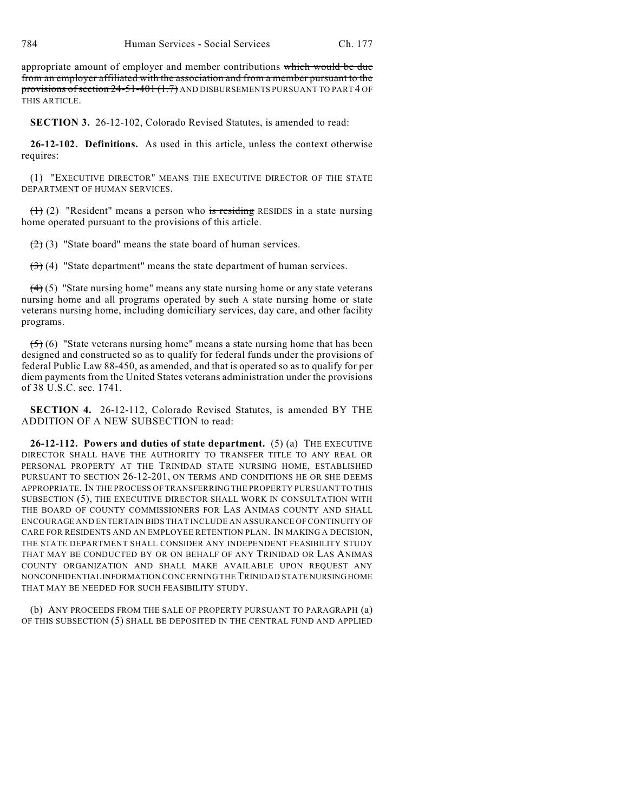appropriate amount of employer and member contributions which would be due from an employer affiliated with the association and from a member pursuant to the provisions of section 24-51-401 (1.7) AND DISBURSEMENTS PURSUANT TO PART 4 OF THIS ARTICLE.

**SECTION 3.** 26-12-102, Colorado Revised Statutes, is amended to read:

**26-12-102. Definitions.** As used in this article, unless the context otherwise requires:

(1) "EXECUTIVE DIRECTOR" MEANS THE EXECUTIVE DIRECTOR OF THE STATE DEPARTMENT OF HUMAN SERVICES.

 $(1)$  (2) "Resident" means a person who is residing RESIDES in a state nursing home operated pursuant to the provisions of this article.

 $(2)$  (3) "State board" means the state board of human services.

 $(3)$  (4) "State department" means the state department of human services.

 $(4)$  (5) "State nursing home" means any state nursing home or any state veterans nursing home and all programs operated by such A state nursing home or state veterans nursing home, including domiciliary services, day care, and other facility programs.

 $(5)$  (6) "State veterans nursing home" means a state nursing home that has been designed and constructed so as to qualify for federal funds under the provisions of federal Public Law 88-450, as amended, and that is operated so as to qualify for per diem payments from the United States veterans administration under the provisions of 38 U.S.C. sec. 1741.

**SECTION 4.** 26-12-112, Colorado Revised Statutes, is amended BY THE ADDITION OF A NEW SUBSECTION to read:

**26-12-112. Powers and duties of state department.** (5) (a) THE EXECUTIVE DIRECTOR SHALL HAVE THE AUTHORITY TO TRANSFER TITLE TO ANY REAL OR PERSONAL PROPERTY AT THE TRINIDAD STATE NURSING HOME, ESTABLISHED PURSUANT TO SECTION 26-12-201, ON TERMS AND CONDITIONS HE OR SHE DEEMS APPROPRIATE. IN THE PROCESS OF TRANSFERRING THE PROPERTY PURSUANT TO THIS SUBSECTION (5), THE EXECUTIVE DIRECTOR SHALL WORK IN CONSULTATION WITH THE BOARD OF COUNTY COMMISSIONERS FOR LAS ANIMAS COUNTY AND SHALL ENCOURAGE AND ENTERTAIN BIDS THAT INCLUDE AN ASSURANCE OF CONTINUITY OF CARE FOR RESIDENTS AND AN EMPLOYEE RETENTION PLAN. IN MAKING A DECISION, THE STATE DEPARTMENT SHALL CONSIDER ANY INDEPENDENT FEASIBILITY STUDY THAT MAY BE CONDUCTED BY OR ON BEHALF OF ANY TRINIDAD OR LAS ANIMAS COUNTY ORGANIZATION AND SHALL MAKE AVAILABLE UPON REQUEST ANY NONCONFIDENTIAL INFORMATION CONCERNING THE TRINIDAD STATE NURSING HOME THAT MAY BE NEEDED FOR SUCH FEASIBILITY STUDY.

(b) ANY PROCEEDS FROM THE SALE OF PROPERTY PURSUANT TO PARAGRAPH (a) OF THIS SUBSECTION (5) SHALL BE DEPOSITED IN THE CENTRAL FUND AND APPLIED